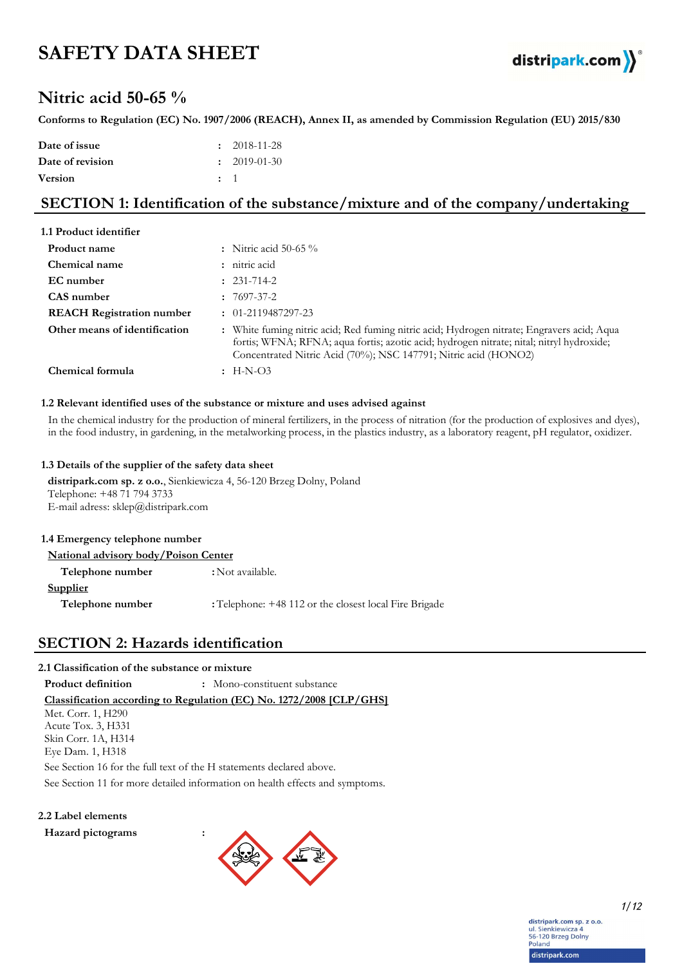# **SAFETY DATA SHEET**



# **Nitric acid 50-65 %**

**Conforms to Regulation (EC) No. 1907/2006 (REACH), Annex II, as amended by Commission Regulation (EU) 2015/830**

| Date of issue    |                | $\cdot$ 2018-11-28 |
|------------------|----------------|--------------------|
| Date of revision |                | $\cdot$ 2019-01-30 |
| <b>Version</b>   | $\therefore$ 1 |                    |

# **SECTION 1: Identification of the substance/mixture and of the company/undertaking**

| 1.1 Product identifier           |                                                                                                                                                                                                                                                           |
|----------------------------------|-----------------------------------------------------------------------------------------------------------------------------------------------------------------------------------------------------------------------------------------------------------|
| Product name                     | : Nitric acid 50-65 $\%$                                                                                                                                                                                                                                  |
| Chemical name                    | : nitric acid                                                                                                                                                                                                                                             |
| EC number                        | $: 231 - 714 - 2$                                                                                                                                                                                                                                         |
| CAS number                       | $: 7697 - 37 - 2$                                                                                                                                                                                                                                         |
| <b>REACH Registration number</b> | $\colon$ 01-2119487297-23                                                                                                                                                                                                                                 |
| Other means of identification    | : White fuming nitric acid; Red fuming nitric acid; Hydrogen nitrate; Engravers acid; Aqua<br>fortis; WFNA; RFNA; aqua fortis; azotic acid; hydrogen nitrate; nital; nitryl hydroxide;<br>Concentrated Nitric Acid (70%); NSC 147791; Nitric acid (HONO2) |
| Chemical formula                 | $\pm$ H-N-O3                                                                                                                                                                                                                                              |

#### **1.2 Relevant identified uses of the substance or mixture and uses advised against**

In the chemical industry for the production of mineral fertilizers, in the process of nitration (for the production of explosives and dyes), in the food industry, in gardening, in the metalworking process, in the plastics industry, as a laboratory reagent, pH regulator, oxidizer.

#### **1.3 Details of the supplier of the safety data sheet**

**distripark.com sp. z o.o.**, Sienkiewicza 4, 56-120 Brzeg Dolny, Poland Telephone: +48 71 794 3733 E-mail adress: sklep@distripark.com

| 1.4 Emergency telephone number              |                                                        |
|---------------------------------------------|--------------------------------------------------------|
| <b>National advisory body/Poison Center</b> |                                                        |
| Telephone number                            | : Not available.                                       |
| <b>Supplier</b>                             |                                                        |
| Telephone number                            | : Telephone: +48 112 or the closest local Fire Brigade |
|                                             |                                                        |

## **SECTION 2: Hazards identification**

## **2.1 Classification of the substance or mixture**

See Section 11 for more detailed information on health effects and symptoms. **Classification according to Regulation (EC) No. 1272/2008 [CLP/GHS] Product definition :** Mono-constituent substance See Section 16 for the full text of the H statements declared above. Met. Corr. 1, H290 Acute Tox. 3, H331 Skin Corr. 1A, H314 Eye Dam. 1, H318

### **2.2 Label elements**

**Hazard pictograms :**



distripark.com sp. z o.o. ul Sienkiewicza 4 an: Sierikiewicza 4<br>56-120 Brzeg Dolny<br>Poland distripark.com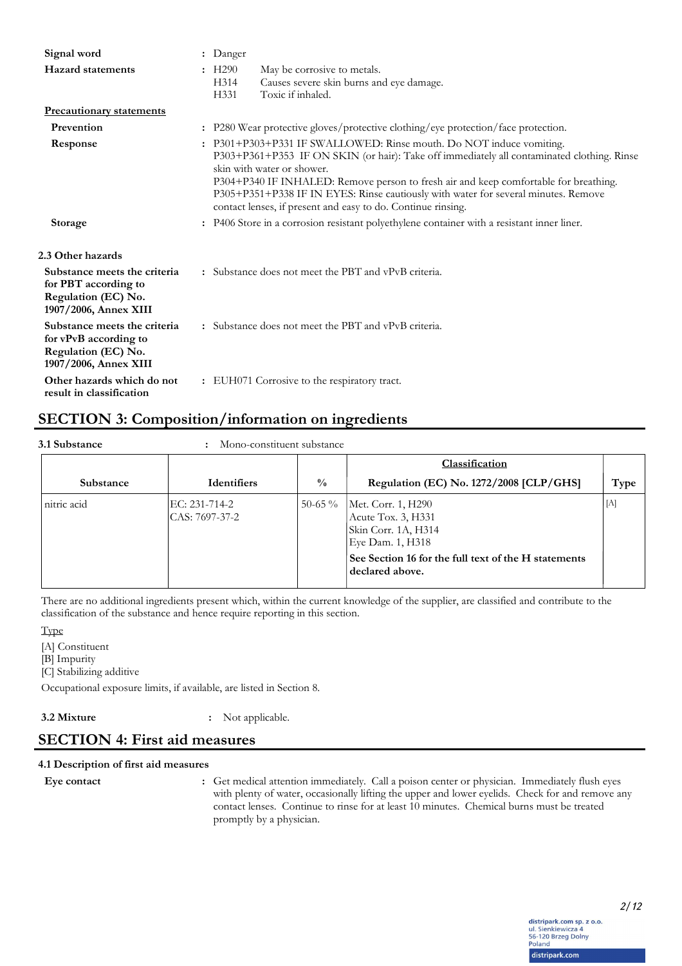| Signal word                                                                                           | : Danger                                                                                                                                                                                                                                                                                                                                                                                                                                      |  |
|-------------------------------------------------------------------------------------------------------|-----------------------------------------------------------------------------------------------------------------------------------------------------------------------------------------------------------------------------------------------------------------------------------------------------------------------------------------------------------------------------------------------------------------------------------------------|--|
| <b>Hazard statements</b>                                                                              | $\pm$ H290<br>May be corrosive to metals.<br>Causes severe skin burns and eye damage.<br>H314<br>Toxic if inhaled.<br>H <sub>331</sub>                                                                                                                                                                                                                                                                                                        |  |
| <b>Precautionary statements</b>                                                                       |                                                                                                                                                                                                                                                                                                                                                                                                                                               |  |
| Prevention                                                                                            | . P280 Wear protective gloves/protective clothing/eye protection/face protection.                                                                                                                                                                                                                                                                                                                                                             |  |
| Response                                                                                              | : P301+P303+P331 IF SWALLOWED: Rinse mouth. Do NOT induce vomiting.<br>P303+P361+P353 IF ON SKIN (or hair): Take off immediately all contaminated clothing. Rinse<br>skin with water or shower.<br>P304+P340 IF INHALED: Remove person to fresh air and keep comfortable for breathing.<br>P305+P351+P338 IF IN EYES: Rinse cautiously with water for several minutes. Remove<br>contact lenses, if present and easy to do. Continue rinsing. |  |
| <b>Storage</b>                                                                                        | : P406 Store in a corrosion resistant polyethylene container with a resistant inner liner.                                                                                                                                                                                                                                                                                                                                                    |  |
| 2.3 Other hazards                                                                                     |                                                                                                                                                                                                                                                                                                                                                                                                                                               |  |
| Substance meets the criteria<br>for PBT according to<br>Regulation (EC) No.<br>1907/2006, Annex XIII  | : Substance does not meet the PBT and vPvB criteria.                                                                                                                                                                                                                                                                                                                                                                                          |  |
| Substance meets the criteria<br>for vPvB according to<br>Regulation (EC) No.<br>1907/2006, Annex XIII | : Substance does not meet the PBT and vPvB criteria.                                                                                                                                                                                                                                                                                                                                                                                          |  |
| Other hazards which do not<br>result in classification                                                | : EUH071 Corrosive to the respiratory tract.                                                                                                                                                                                                                                                                                                                                                                                                  |  |

# **SECTION 3: Composition/information on ingredients**

| 3.1 Substance | : Mono-constituent substance |
|---------------|------------------------------|
|               |                              |

|             |                                 |               | Classification                                                                                                                                                 |             |
|-------------|---------------------------------|---------------|----------------------------------------------------------------------------------------------------------------------------------------------------------------|-------------|
| Substance   | <b>Identifiers</b>              | $\frac{0}{0}$ | Regulation (EC) No. 1272/2008 [CLP/GHS]                                                                                                                        | Type        |
| nitric acid | EC: 231-714-2<br>CAS: 7697-37-2 | 50-65 $\%$    | Met. Corr. 1, H290<br>Acute Tox. 3, H331<br>Skin Corr. 1A, H314<br>Eye Dam. 1, H318<br>See Section 16 for the full text of the H statements<br>declared above. | $[{\rm A}]$ |

There are no additional ingredients present which, within the current knowledge of the supplier, are classified and contribute to the classification of the substance and hence require reporting in this section.

Type

[A] Constituent

[B] Impurity

[C] Stabilizing additive

Occupational exposure limits, if available, are listed in Section 8.

**3.2 Mixture :** Not applicable.

# **SECTION 4: First aid measures**

## **4.1 Description of first aid measures**

**Eye contact :**

Get medical attention immediately. Call a poison center or physician. Immediately flush eyes with plenty of water, occasionally lifting the upper and lower eyelids. Check for and remove any contact lenses. Continue to rinse for at least 10 minutes. Chemical burns must be treated promptly by a physician.

> distripark.com sp. z o.o. ul. Sienkiewicza 4<br>56-120 Brzeg Dolny<br>Poland distripark.com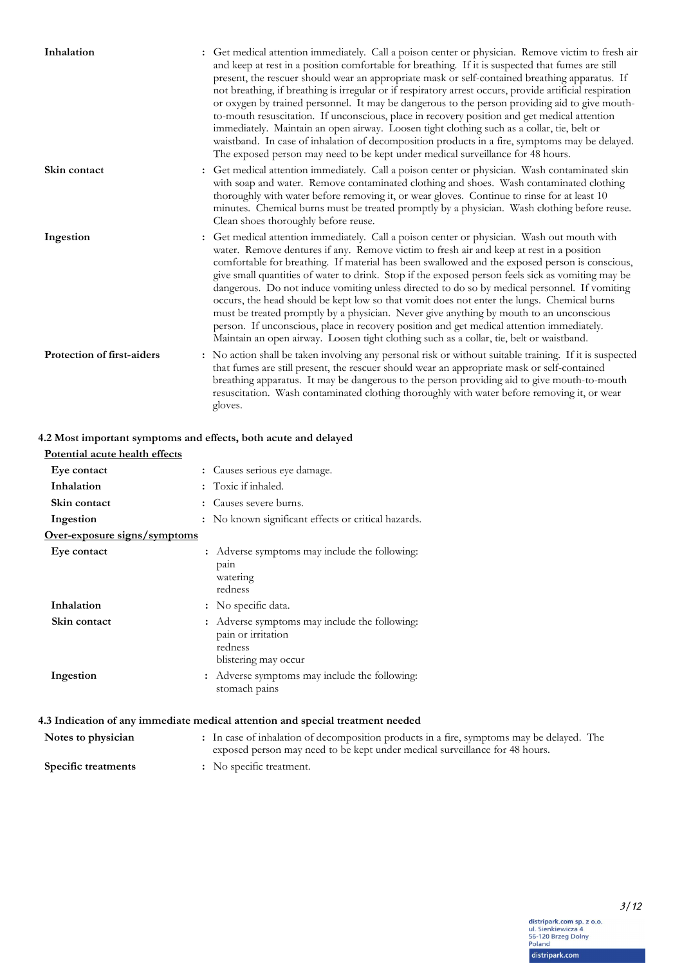| Inhalation                 | : Get medical attention immediately. Call a poison center or physician. Remove victim to fresh air<br>and keep at rest in a position comfortable for breathing. If it is suspected that fumes are still<br>present, the rescuer should wear an appropriate mask or self-contained breathing apparatus. If<br>not breathing, if breathing is irregular or if respiratory arrest occurs, provide artificial respiration<br>or oxygen by trained personnel. It may be dangerous to the person providing aid to give mouth-<br>to-mouth resuscitation. If unconscious, place in recovery position and get medical attention<br>immediately. Maintain an open airway. Loosen tight clothing such as a collar, tie, belt or<br>waistband. In case of inhalation of decomposition products in a fire, symptoms may be delayed.<br>The exposed person may need to be kept under medical surveillance for 48 hours. |
|----------------------------|------------------------------------------------------------------------------------------------------------------------------------------------------------------------------------------------------------------------------------------------------------------------------------------------------------------------------------------------------------------------------------------------------------------------------------------------------------------------------------------------------------------------------------------------------------------------------------------------------------------------------------------------------------------------------------------------------------------------------------------------------------------------------------------------------------------------------------------------------------------------------------------------------------|
| Skin contact               | : Get medical attention immediately. Call a poison center or physician. Wash contaminated skin<br>with soap and water. Remove contaminated clothing and shoes. Wash contaminated clothing<br>thoroughly with water before removing it, or wear gloves. Continue to rinse for at least 10<br>minutes. Chemical burns must be treated promptly by a physician. Wash clothing before reuse.<br>Clean shoes thoroughly before reuse.                                                                                                                                                                                                                                                                                                                                                                                                                                                                           |
| Ingestion                  | : Get medical attention immediately. Call a poison center or physician. Wash out mouth with<br>water. Remove dentures if any. Remove victim to fresh air and keep at rest in a position<br>comfortable for breathing. If material has been swallowed and the exposed person is conscious,<br>give small quantities of water to drink. Stop if the exposed person feels sick as vomiting may be<br>dangerous. Do not induce vomiting unless directed to do so by medical personnel. If vomiting<br>occurs, the head should be kept low so that vomit does not enter the lungs. Chemical burns<br>must be treated promptly by a physician. Never give anything by mouth to an unconscious<br>person. If unconscious, place in recovery position and get medical attention immediately.<br>Maintain an open airway. Loosen tight clothing such as a collar, tie, belt or waistband.                           |
| Protection of first-aiders | : No action shall be taken involving any personal risk or without suitable training. If it is suspected<br>that fumes are still present, the rescuer should wear an appropriate mask or self-contained<br>breathing apparatus. It may be dangerous to the person providing aid to give mouth-to-mouth<br>resuscitation. Wash contaminated clothing thoroughly with water before removing it, or wear<br>gloves.                                                                                                                                                                                                                                                                                                                                                                                                                                                                                            |

### **4.2 Most important symptoms and effects, both acute and delayed**

| Potential acute health effects |                                                                                                      |  |
|--------------------------------|------------------------------------------------------------------------------------------------------|--|
| Eye contact                    | : Causes serious eye damage.                                                                         |  |
| Inhalation                     | : Toxic if inhaled.                                                                                  |  |
| Skin contact                   | : Causes severe burns.                                                                               |  |
| Ingestion                      | : No known significant effects or critical hazards.                                                  |  |
| Over-exposure signs/symptoms   |                                                                                                      |  |
| Eye contact                    | : Adverse symptoms may include the following:<br>pain<br>watering<br>redness                         |  |
| Inhalation                     | : No specific data.                                                                                  |  |
| Skin contact                   | Adverse symptoms may include the following:<br>pain or irritation<br>redness<br>blistering may occur |  |
| Ingestion                      | : Adverse symptoms may include the following:<br>stomach pains                                       |  |
|                                | 4.3 Indication of any immediate medical attention and special treatment needed                       |  |
| Notes to physician             | : In case of inhalation of decomposition products in a fire, symp                                    |  |

**Notes to physician** In case of inhalation of decomposition products in a fire, symptoms may be delayed. The exposed person may need to be kept under medical surveillance for 48 hours. **: Specific treatments :** No specific treatment.

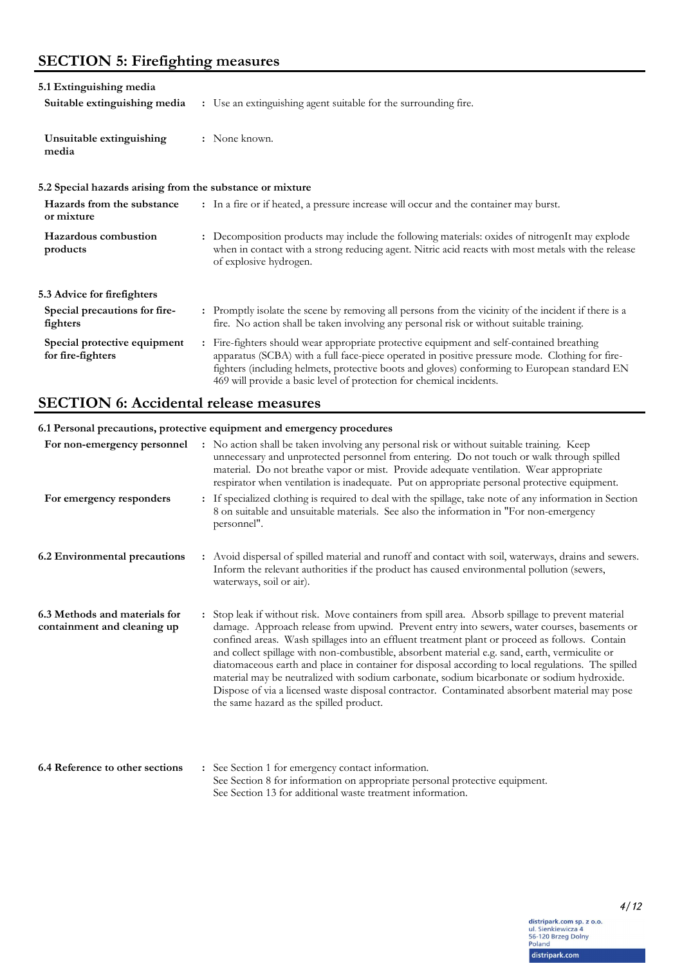# **SECTION 5: Firefighting measures**

| 5.1 Extinguishing media<br>Suitable extinguishing media   | : Use an extinguishing agent suitable for the surrounding fire.                                                                                                                                                                                                                                                                                                                     |
|-----------------------------------------------------------|-------------------------------------------------------------------------------------------------------------------------------------------------------------------------------------------------------------------------------------------------------------------------------------------------------------------------------------------------------------------------------------|
| Unsuitable extinguishing<br>media                         | : None known.                                                                                                                                                                                                                                                                                                                                                                       |
| 5.2 Special hazards arising from the substance or mixture |                                                                                                                                                                                                                                                                                                                                                                                     |
| Hazards from the substance<br>or mixture                  | : In a fire or if heated, a pressure increase will occur and the container may burst.                                                                                                                                                                                                                                                                                               |
| Hazardous combustion<br>products                          | : Decomposition products may include the following materials: oxides of nitrogenIt may explode<br>when in contact with a strong reducing agent. Nitric acid reacts with most metals with the release<br>of explosive hydrogen.                                                                                                                                                      |
| 5.3 Advice for firefighters                               |                                                                                                                                                                                                                                                                                                                                                                                     |
| Special precautions for fire-<br>fighters                 | : Promptly isolate the scene by removing all persons from the vicinity of the incident if there is a<br>fire. No action shall be taken involving any personal risk or without suitable training.                                                                                                                                                                                    |
| Special protective equipment<br>for fire-fighters         | Fire-fighters should wear appropriate protective equipment and self-contained breathing<br>$\ddot{\cdot}$<br>apparatus (SCBA) with a full face-piece operated in positive pressure mode. Clothing for fire-<br>fighters (including helmets, protective boots and gloves) conforming to European standard EN<br>469 will provide a basic level of protection for chemical incidents. |

# **SECTION 6: Accidental release measures**

## **6.1 Personal precautions, protective equipment and emergency procedures**

| For non-emergency personnel                                  | : No action shall be taken involving any personal risk or without suitable training. Keep<br>unnecessary and unprotected personnel from entering. Do not touch or walk through spilled<br>material. Do not breathe vapor or mist. Provide adequate ventilation. Wear appropriate<br>respirator when ventilation is inadequate. Put on appropriate personal protective equipment.                                                                                                                                                                                                                                                                                                                                                                      |
|--------------------------------------------------------------|-------------------------------------------------------------------------------------------------------------------------------------------------------------------------------------------------------------------------------------------------------------------------------------------------------------------------------------------------------------------------------------------------------------------------------------------------------------------------------------------------------------------------------------------------------------------------------------------------------------------------------------------------------------------------------------------------------------------------------------------------------|
| For emergency responders                                     | : If specialized clothing is required to deal with the spillage, take note of any information in Section<br>8 on suitable and unsuitable materials. See also the information in "For non-emergency<br>personnel".                                                                                                                                                                                                                                                                                                                                                                                                                                                                                                                                     |
| 6.2 Environmental precautions                                | : Avoid dispersal of spilled material and runoff and contact with soil, waterways, drains and sewers.<br>Inform the relevant authorities if the product has caused environmental pollution (sewers,<br>waterways, soil or air).                                                                                                                                                                                                                                                                                                                                                                                                                                                                                                                       |
| 6.3 Methods and materials for<br>containment and cleaning up | : Stop leak if without risk. Move containers from spill area. Absorb spillage to prevent material<br>damage. Approach release from upwind. Prevent entry into sewers, water courses, basements or<br>confined areas. Wash spillages into an effluent treatment plant or proceed as follows. Contain<br>and collect spillage with non-combustible, absorbent material e.g. sand, earth, vermiculite or<br>diatomaceous earth and place in container for disposal according to local regulations. The spilled<br>material may be neutralized with sodium carbonate, sodium bicarbonate or sodium hydroxide.<br>Dispose of via a licensed waste disposal contractor. Contaminated absorbent material may pose<br>the same hazard as the spilled product. |
| 6.4 Reference to other sections                              | : See Section 1 for emergency contact information.<br>See Section O for information on approximate negocial nucleative conjunction                                                                                                                                                                                                                                                                                                                                                                                                                                                                                                                                                                                                                    |

See Section 8 for information on appropriate personal protective equipment. See Section 13 for additional waste treatment information.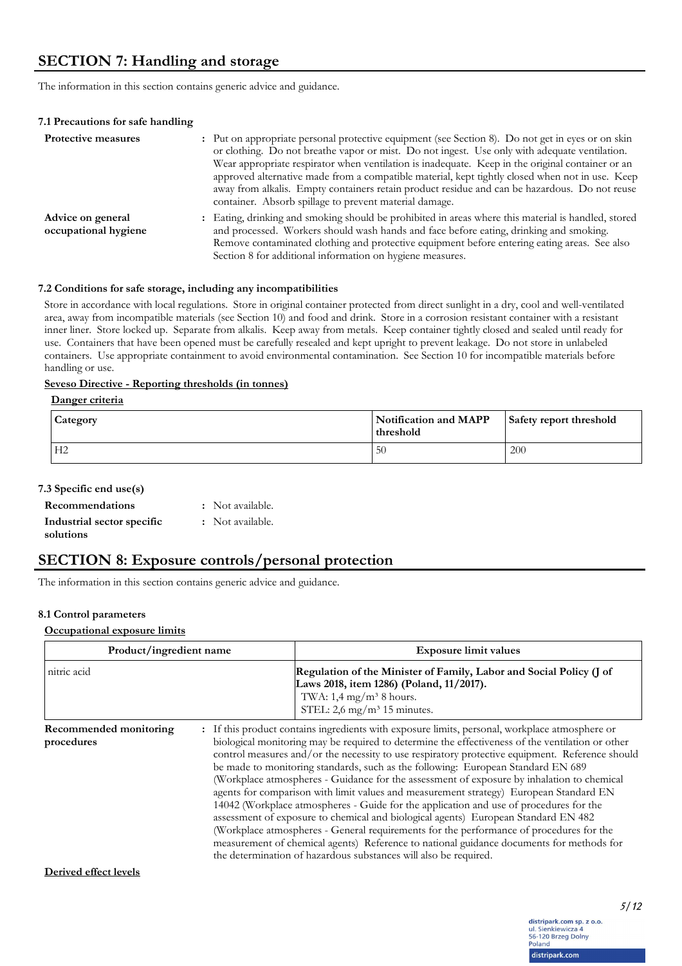The information in this section contains generic advice and guidance.

| 7.1 Precautions for safe handling         |                                                                                                                                                                                                                                                                                                                                                                                                                                                                                                                                                                      |
|-------------------------------------------|----------------------------------------------------------------------------------------------------------------------------------------------------------------------------------------------------------------------------------------------------------------------------------------------------------------------------------------------------------------------------------------------------------------------------------------------------------------------------------------------------------------------------------------------------------------------|
| <b>Protective measures</b>                | : Put on appropriate personal protective equipment (see Section 8). Do not get in eyes or on skin<br>or clothing. Do not breathe vapor or mist. Do not ingest. Use only with adequate ventilation.<br>Wear appropriate respirator when ventilation is inadequate. Keep in the original container or an<br>approved alternative made from a compatible material, kept tightly closed when not in use. Keep<br>away from alkalis. Empty containers retain product residue and can be hazardous. Do not reuse<br>container. Absorb spillage to prevent material damage. |
| Advice on general<br>occupational hygiene | : Eating, drinking and smoking should be prohibited in areas where this material is handled, stored<br>and processed. Workers should wash hands and face before eating, drinking and smoking.<br>Remove contaminated clothing and protective equipment before entering eating areas. See also<br>Section 8 for additional information on hygiene measures.                                                                                                                                                                                                           |

#### **7.2 Conditions for safe storage, including any incompatibilities**

Store in accordance with local regulations. Store in original container protected from direct sunlight in a dry, cool and well-ventilated area, away from incompatible materials (see Section 10) and food and drink. Store in a corrosion resistant container with a resistant inner liner. Store locked up. Separate from alkalis. Keep away from metals. Keep container tightly closed and sealed until ready for use. Containers that have been opened must be carefully resealed and kept upright to prevent leakage. Do not store in unlabeled containers. Use appropriate containment to avoid environmental contamination. See Section 10 for incompatible materials before handling or use.

#### **Seveso Directive - Reporting thresholds (in tonnes)**

#### **Danger criteria**

| <b>Category</b> | Notification and MAPP<br>threshold | Safety report threshold |
|-----------------|------------------------------------|-------------------------|
| H <sub>2</sub>  | 50                                 | 200                     |

### **7.3 Specific end use(s)**

| <b>Recommendations</b>     | : Not available. |
|----------------------------|------------------|
| Industrial sector specific | : Not available. |
| solutions                  |                  |

# **SECTION 8: Exposure controls/personal protection**

The information in this section contains generic advice and guidance.

#### **8.1 Control parameters**

#### **Occupational exposure limits**

| Product/ingredient name              | <b>Exposure limit values</b>                                                                                                                                                                                                                                                                                                                                                                                                                                                                                                                                                                                                                                                                                                                                                                                                                                                                                                                                                                                                 |  |
|--------------------------------------|------------------------------------------------------------------------------------------------------------------------------------------------------------------------------------------------------------------------------------------------------------------------------------------------------------------------------------------------------------------------------------------------------------------------------------------------------------------------------------------------------------------------------------------------------------------------------------------------------------------------------------------------------------------------------------------------------------------------------------------------------------------------------------------------------------------------------------------------------------------------------------------------------------------------------------------------------------------------------------------------------------------------------|--|
| nitric acid                          | Regulation of the Minister of Family, Labor and Social Policy (J of<br>Laws 2018, item 1286) (Poland, 11/2017).<br>TWA: $1,4$ mg/m <sup>3</sup> 8 hours.<br>STEL: $2.6 \text{ mg/m}^3$ 15 minutes.                                                                                                                                                                                                                                                                                                                                                                                                                                                                                                                                                                                                                                                                                                                                                                                                                           |  |
| Recommended monitoring<br>procedures | : If this product contains ingredients with exposure limits, personal, workplace atmosphere or<br>biological monitoring may be required to determine the effectiveness of the ventilation or other<br>control measures and/or the necessity to use respiratory protective equipment. Reference should<br>be made to monitoring standards, such as the following: European Standard EN 689<br>(Workplace atmospheres - Guidance for the assessment of exposure by inhalation to chemical<br>agents for comparison with limit values and measurement strategy) European Standard EN<br>14042 (Workplace atmospheres - Guide for the application and use of procedures for the<br>assessment of exposure to chemical and biological agents) European Standard EN 482<br>(Workplace atmospheres - General requirements for the performance of procedures for the<br>measurement of chemical agents) Reference to national guidance documents for methods for<br>the determination of hazardous substances will also be required. |  |

**Derived effect levels**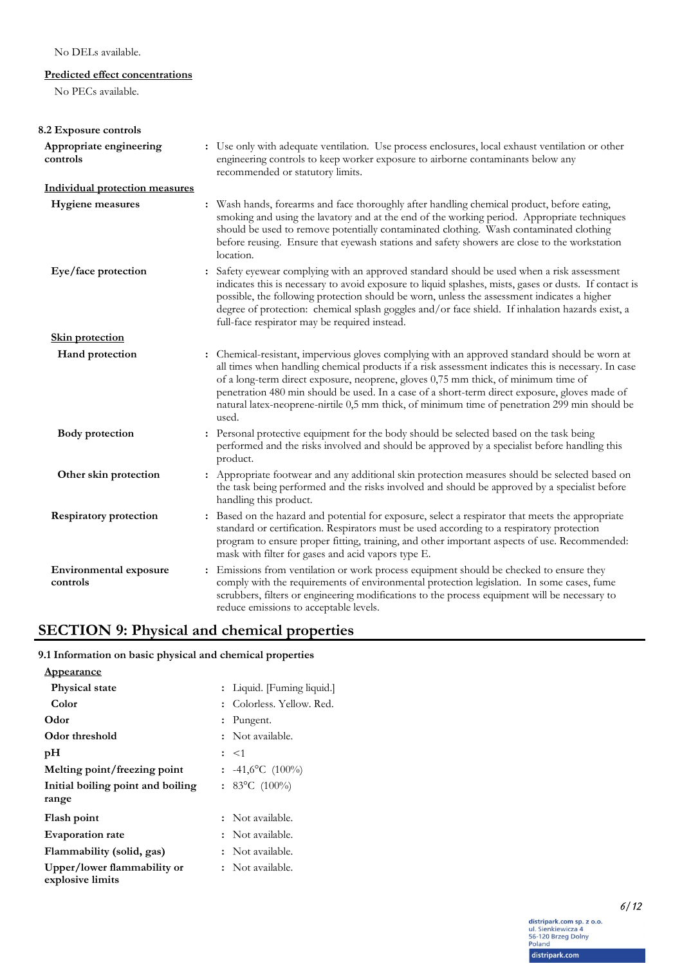## No DELs available.

## **Predicted effect concentrations**

No PECs available.

| 8.2 Exposure controls                     |                                                                                                                                                                                                                                                                                                                                                                                                                                                                                                       |
|-------------------------------------------|-------------------------------------------------------------------------------------------------------------------------------------------------------------------------------------------------------------------------------------------------------------------------------------------------------------------------------------------------------------------------------------------------------------------------------------------------------------------------------------------------------|
| Appropriate engineering<br>controls       | : Use only with adequate ventilation. Use process enclosures, local exhaust ventilation or other<br>engineering controls to keep worker exposure to airborne contaminants below any<br>recommended or statutory limits.                                                                                                                                                                                                                                                                               |
| <b>Individual protection measures</b>     |                                                                                                                                                                                                                                                                                                                                                                                                                                                                                                       |
| <b>Hygiene</b> measures                   | : Wash hands, forearms and face thoroughly after handling chemical product, before eating,<br>smoking and using the lavatory and at the end of the working period. Appropriate techniques<br>should be used to remove potentially contaminated clothing. Wash contaminated clothing<br>before reusing. Ensure that eyewash stations and safety showers are close to the workstation<br>location.                                                                                                      |
| Eye/face protection                       | : Safety eyewear complying with an approved standard should be used when a risk assessment<br>indicates this is necessary to avoid exposure to liquid splashes, mists, gases or dusts. If contact is<br>possible, the following protection should be worn, unless the assessment indicates a higher<br>degree of protection: chemical splash goggles and/or face shield. If inhalation hazards exist, a<br>full-face respirator may be required instead.                                              |
| <b>Skin protection</b>                    |                                                                                                                                                                                                                                                                                                                                                                                                                                                                                                       |
| Hand protection                           | : Chemical-resistant, impervious gloves complying with an approved standard should be worn at<br>all times when handling chemical products if a risk assessment indicates this is necessary. In case<br>of a long-term direct exposure, neoprene, gloves 0,75 mm thick, of minimum time of<br>penetration 480 min should be used. In a case of a short-term direct exposure, gloves made of<br>natural latex-neoprene-nirtile 0,5 mm thick, of minimum time of penetration 299 min should be<br>used. |
| <b>Body</b> protection                    | : Personal protective equipment for the body should be selected based on the task being<br>performed and the risks involved and should be approved by a specialist before handling this<br>product.                                                                                                                                                                                                                                                                                                   |
| Other skin protection                     | : Appropriate footwear and any additional skin protection measures should be selected based on<br>the task being performed and the risks involved and should be approved by a specialist before<br>handling this product.                                                                                                                                                                                                                                                                             |
| <b>Respiratory protection</b>             | : Based on the hazard and potential for exposure, select a respirator that meets the appropriate<br>standard or certification. Respirators must be used according to a respiratory protection<br>program to ensure proper fitting, training, and other important aspects of use. Recommended:<br>mask with filter for gases and acid vapors type E.                                                                                                                                                   |
| <b>Environmental exposure</b><br>controls | Emissions from ventilation or work process equipment should be checked to ensure they<br>:<br>comply with the requirements of environmental protection legislation. In some cases, fume<br>scrubbers, filters or engineering modifications to the process equipment will be necessary to<br>reduce emissions to acceptable levels.                                                                                                                                                                    |

# **SECTION 9: Physical and chemical properties**

**9.1 Information on basic physical and chemical properties**

| <u>Appearance</u>                               |                            |
|-------------------------------------------------|----------------------------|
| <b>Physical state</b>                           | : Liquid. [Fuming liquid.] |
| Color                                           | : Colorless, Yellow, Red.  |
| Odor                                            | $:$ Pungent.               |
| Odor threshold                                  | : Not available.           |
| рH                                              | $:$ $\leq$ 1               |
| Melting point/freezing point                    | $: 41,6^{\circ}C (100\%)$  |
| Initial boiling point and boiling               | : 83°C $(100\%)$           |
| range                                           |                            |
| Flash point                                     | : Not available.           |
| <b>Evaporation rate</b>                         | : Not available.           |
| Flammability (solid, gas)                       | : Not available.           |
| Upper/lower flammability or<br>explosive limits | : Not available.           |
|                                                 |                            |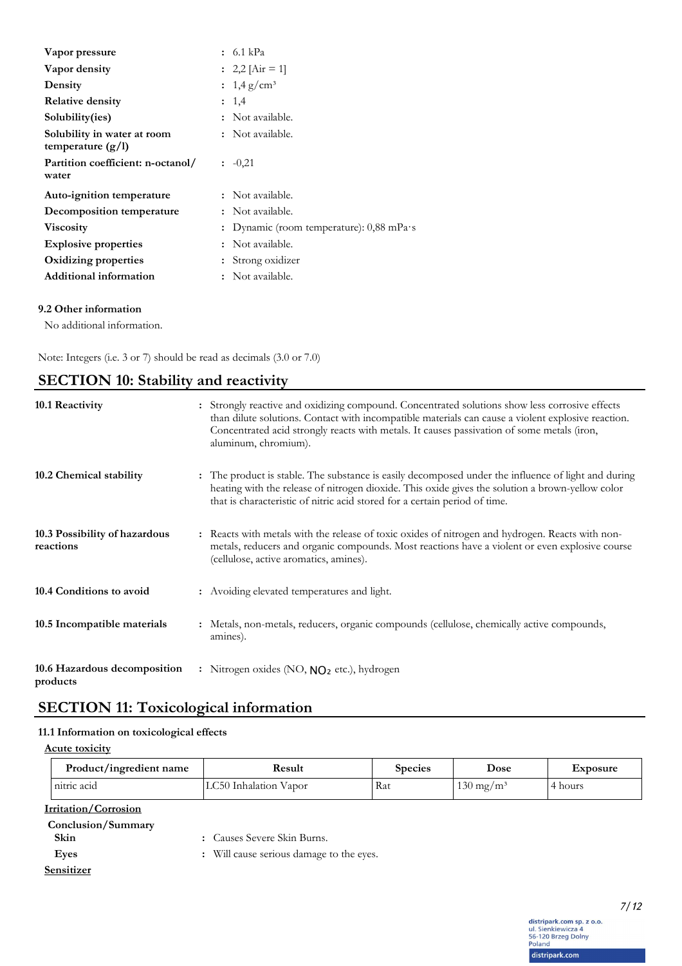| Vapor pressure                                     | : 6.1 kPa                                          |
|----------------------------------------------------|----------------------------------------------------|
| Vapor density                                      | : 2,2 $[Air = 1]$                                  |
| Density                                            | : $1,4 \text{ g/cm}^3$                             |
| <b>Relative density</b>                            | : 1.4                                              |
| Solubility(ies)                                    | : Not available.                                   |
| Solubility in water at room<br>temperature $(g/l)$ | : Not available.                                   |
| Partition coefficient: n-octanol/<br>water         | $: -0, 21$                                         |
| Auto-ignition temperature                          | : Not available.                                   |
| Decomposition temperature                          | : Not available.                                   |
| <b>Viscosity</b>                                   | : Dynamic (room temperature): $0,88$ mPa $\cdot$ s |
| <b>Explosive properties</b>                        | : Not available.                                   |
| Oxidizing properties                               | Strong oxidizer                                    |
| <b>Additional information</b>                      | Not available.                                     |

### **9.2 Other information**

No additional information.

Note: Integers (i.e. 3 or 7) should be read as decimals (3.0 or 7.0)

| <b>SECTION 10: Stability and reactivity</b> |  |
|---------------------------------------------|--|
|---------------------------------------------|--|

| 10.1 Reactivity                            | : Strongly reactive and oxidizing compound. Concentrated solutions show less corrosive effects<br>than dilute solutions. Contact with incompatible materials can cause a violent explosive reaction.<br>Concentrated acid strongly reacts with metals. It causes passivation of some metals (iron,<br>aluminum, chromium). |
|--------------------------------------------|----------------------------------------------------------------------------------------------------------------------------------------------------------------------------------------------------------------------------------------------------------------------------------------------------------------------------|
| 10.2 Chemical stability                    | The product is stable. The substance is easily decomposed under the influence of light and during<br>heating with the release of nitrogen dioxide. This oxide gives the solution a brown-yellow color<br>that is characteristic of nitric acid stored for a certain period of time.                                        |
| 10.3 Possibility of hazardous<br>reactions | : Reacts with metals with the release of toxic oxides of nitrogen and hydrogen. Reacts with non-<br>metals, reducers and organic compounds. Most reactions have a violent or even explosive course<br>(cellulose, active aromatics, amines).                                                                               |
| 10.4 Conditions to avoid                   | : Avoiding elevated temperatures and light.                                                                                                                                                                                                                                                                                |
| 10.5 Incompatible materials                | : Metals, non-metals, reducers, organic compounds (cellulose, chemically active compounds,<br>amines).                                                                                                                                                                                                                     |
| 10.6 Hazardous decomposition<br>products   | : Nitrogen oxides (NO, $NO2$ etc.), hydrogen                                                                                                                                                                                                                                                                               |

# **SECTION 11: Toxicological information**

## **11.1 Information on toxicological effects**

**Acute toxicity**

| Product/ingredient name     | Result                                   | <b>Species</b> | Dose                 | Exposure |
|-----------------------------|------------------------------------------|----------------|----------------------|----------|
| nitric acid                 | LC50 Inhalation Vapor                    | Rat            | $130 \text{ mg/m}^3$ | 4 hours  |
| <b>Irritation/Corrosion</b> |                                          |                |                      |          |
| Conclusion/Summary<br>Skin  | : Causes Severe Skin Burns.              |                |                      |          |
| Eyes                        | : Will cause serious damage to the eyes. |                |                      |          |
| Sensitizer                  |                                          |                |                      |          |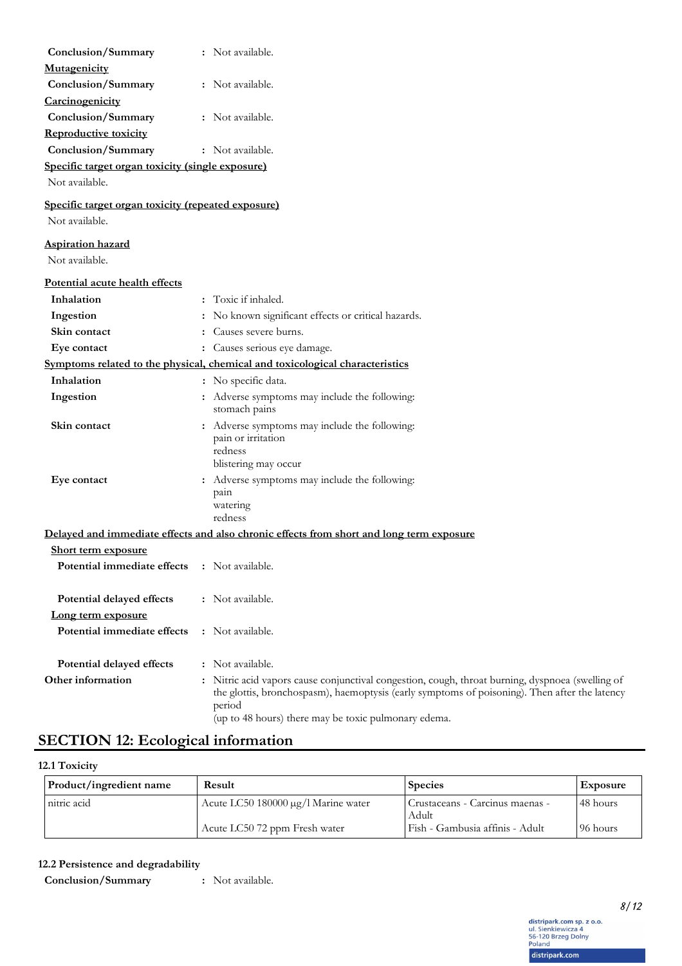| Conclusion/Summary                                 | : Not available.                                                                                                                                                                                                                                                    |
|----------------------------------------------------|---------------------------------------------------------------------------------------------------------------------------------------------------------------------------------------------------------------------------------------------------------------------|
| Mutagenicity                                       |                                                                                                                                                                                                                                                                     |
| Conclusion/Summary                                 | : Not available.                                                                                                                                                                                                                                                    |
| Carcinogenicity                                    |                                                                                                                                                                                                                                                                     |
| Conclusion/Summary                                 | : Not available.                                                                                                                                                                                                                                                    |
| <b>Reproductive toxicity</b>                       |                                                                                                                                                                                                                                                                     |
| Conclusion/Summary                                 | : Not available.                                                                                                                                                                                                                                                    |
| Specific target organ toxicity (single exposure)   |                                                                                                                                                                                                                                                                     |
| Not available.                                     |                                                                                                                                                                                                                                                                     |
| Specific target organ toxicity (repeated exposure) |                                                                                                                                                                                                                                                                     |
| Not available.                                     |                                                                                                                                                                                                                                                                     |
| <b>Aspiration hazard</b>                           |                                                                                                                                                                                                                                                                     |
| Not available.                                     |                                                                                                                                                                                                                                                                     |
|                                                    |                                                                                                                                                                                                                                                                     |
| Potential acute health effects                     |                                                                                                                                                                                                                                                                     |
| Inhalation                                         | : Toxic if inhaled.                                                                                                                                                                                                                                                 |
| Ingestion                                          | : No known significant effects or critical hazards.                                                                                                                                                                                                                 |
| Skin contact                                       | Causes severe burns.                                                                                                                                                                                                                                                |
| Eye contact                                        | : Causes serious eye damage.                                                                                                                                                                                                                                        |
|                                                    | Symptoms related to the physical, chemical and toxicological characteristics                                                                                                                                                                                        |
| Inhalation                                         | : No specific data.                                                                                                                                                                                                                                                 |
| Ingestion                                          | : Adverse symptoms may include the following:<br>stomach pains                                                                                                                                                                                                      |
| Skin contact                                       | : Adverse symptoms may include the following:<br>pain or irritation<br>redness<br>blistering may occur                                                                                                                                                              |
| Eye contact                                        | : Adverse symptoms may include the following:<br>pain                                                                                                                                                                                                               |
|                                                    | watering<br>redness                                                                                                                                                                                                                                                 |
|                                                    | Delayed and immediate effects and also chronic effects from short and long term exposure                                                                                                                                                                            |
| <b>Short term exposure</b>                         |                                                                                                                                                                                                                                                                     |
| Potential immediate effects                        | : Not available.                                                                                                                                                                                                                                                    |
| Potential delayed effects                          | : Not available.                                                                                                                                                                                                                                                    |
| Long term exposure                                 |                                                                                                                                                                                                                                                                     |
| Potential immediate effects                        | : Not available.                                                                                                                                                                                                                                                    |
| Potential delayed effects                          | : Not available.                                                                                                                                                                                                                                                    |
| Other information                                  | : Nitric acid vapors cause conjunctival congestion, cough, throat burning, dyspnoea (swelling of<br>the glottis, bronchospasm), haemoptysis (early symptoms of poisoning). Then after the latency<br>period<br>(up to 48 hours) there may be toxic pulmonary edema. |

# **SECTION 12: Ecological information**

**12.1 Toxicity**

| Product/ingredient name | Result                              | <b>Species</b>                           | <b>Exposure</b> |
|-------------------------|-------------------------------------|------------------------------------------|-----------------|
| nitric acid             | Acute LC50 180000 μg/l Marine water | Crustaceans - Carcinus maenas -<br>Adult | 48 hours        |
|                         | Acute LC50 72 ppm Fresh water       | Fish - Gambusia affinis - Adult          | 96 hours        |

**12.2 Persistence and degradability**

**Conclusion/Summary :** Not available.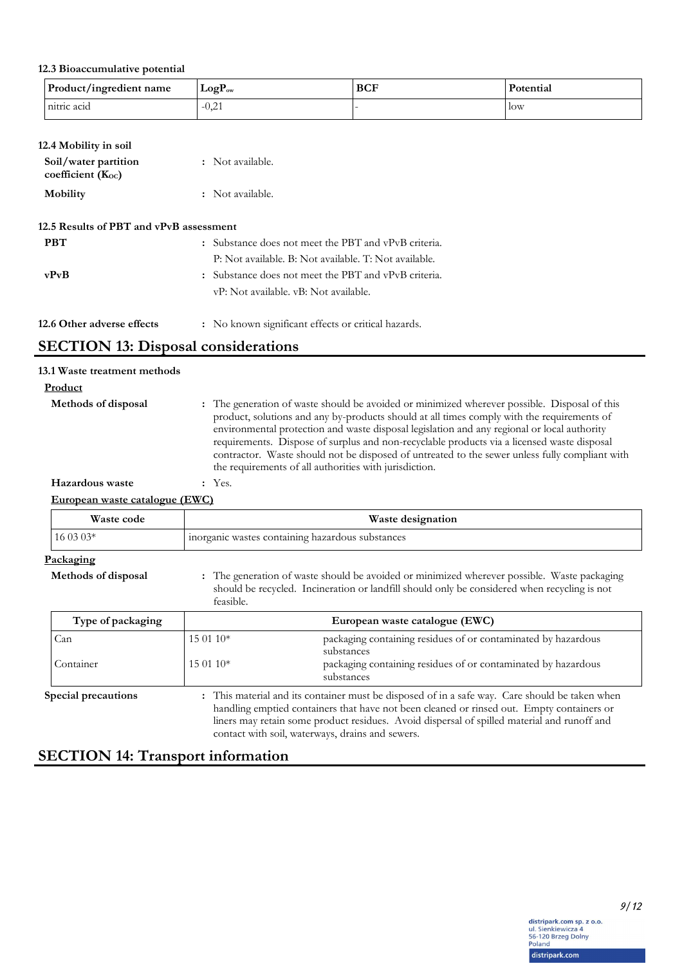## **12.3 Bioaccumulative potential**

| Product/ingredient name | $LogP_{ow}$ | <b>BCF</b> | Potential  |
|-------------------------|-------------|------------|------------|
| nitric acid             | $-0,21$     |            | <b>low</b> |

## **12.4 Mobility in soil**

| Soil/water partition<br>coefficient $(K_{oc})$ | : Not available. |
|------------------------------------------------|------------------|
| Mobility                                       | : Not available. |

## **12.5 Results of PBT and vPvB assessment**

| <b>PBT</b>                 | : Substance does not meet the PBT and vPvB criteria.                                          |
|----------------------------|-----------------------------------------------------------------------------------------------|
|                            | P: Not available. B: Not available. T: Not available.                                         |
| vPvB                       | : Substance does not meet the PBT and vPvB criteria.<br>vP: Not available. vB: Not available. |
| 12.6 Other adverse effects | : No known significant effects or critical hazards.                                           |

# **SECTION 13: Disposal considerations**

| 13.1 Waste treatment methods   |                                                                                                                                                                                                                                                                                                                                                                                                                                                                                                                                                     |
|--------------------------------|-----------------------------------------------------------------------------------------------------------------------------------------------------------------------------------------------------------------------------------------------------------------------------------------------------------------------------------------------------------------------------------------------------------------------------------------------------------------------------------------------------------------------------------------------------|
| Product                        |                                                                                                                                                                                                                                                                                                                                                                                                                                                                                                                                                     |
| Methods of disposal            | : The generation of waste should be avoided or minimized wherever possible. Disposal of this<br>product, solutions and any by-products should at all times comply with the requirements of<br>environmental protection and waste disposal legislation and any regional or local authority<br>requirements. Dispose of surplus and non-recyclable products via a licensed waste disposal<br>contractor. Waste should not be disposed of untreated to the sewer unless fully compliant with<br>the requirements of all authorities with jurisdiction. |
| Hazardous waste                | $:$ Yes.                                                                                                                                                                                                                                                                                                                                                                                                                                                                                                                                            |
| European waste catalogue (EWC) |                                                                                                                                                                                                                                                                                                                                                                                                                                                                                                                                                     |

| Waste code                              | Waste designation                                                                                                                                                                                                                                                                                        |                                                                                                                                              |
|-----------------------------------------|----------------------------------------------------------------------------------------------------------------------------------------------------------------------------------------------------------------------------------------------------------------------------------------------------------|----------------------------------------------------------------------------------------------------------------------------------------------|
| $160303*$                               | inorganic wastes containing hazardous substances                                                                                                                                                                                                                                                         |                                                                                                                                              |
| <u>Packaging</u><br>Methods of disposal | : The generation of waste should be avoided or minimized wherever possible. Waste packaging<br>should be recycled. Incineration or landfill should only be considered when recycling is not<br>feasible.                                                                                                 |                                                                                                                                              |
| Type of packaging                       | European waste catalogue (EWC)                                                                                                                                                                                                                                                                           |                                                                                                                                              |
| Can<br>Container                        | 15 01 10*<br>$15.0110*$                                                                                                                                                                                                                                                                                  | packaging containing residues of or contaminated by hazardous<br>substances<br>packaging containing residues of or contaminated by hazardous |
| <b>Special precautions</b>              | substances<br>: This material and its container must be disposed of in a safe way. Care should be taken when<br>handling emptied containers that have not been cleaned or rinsed out. Empty containers or<br>liners may retain some product residues. Avoid dispersal of spilled material and runoff and |                                                                                                                                              |
|                                         | contact with soil, waterways, drains and sewers.                                                                                                                                                                                                                                                         |                                                                                                                                              |

# **SECTION 14: Transport information**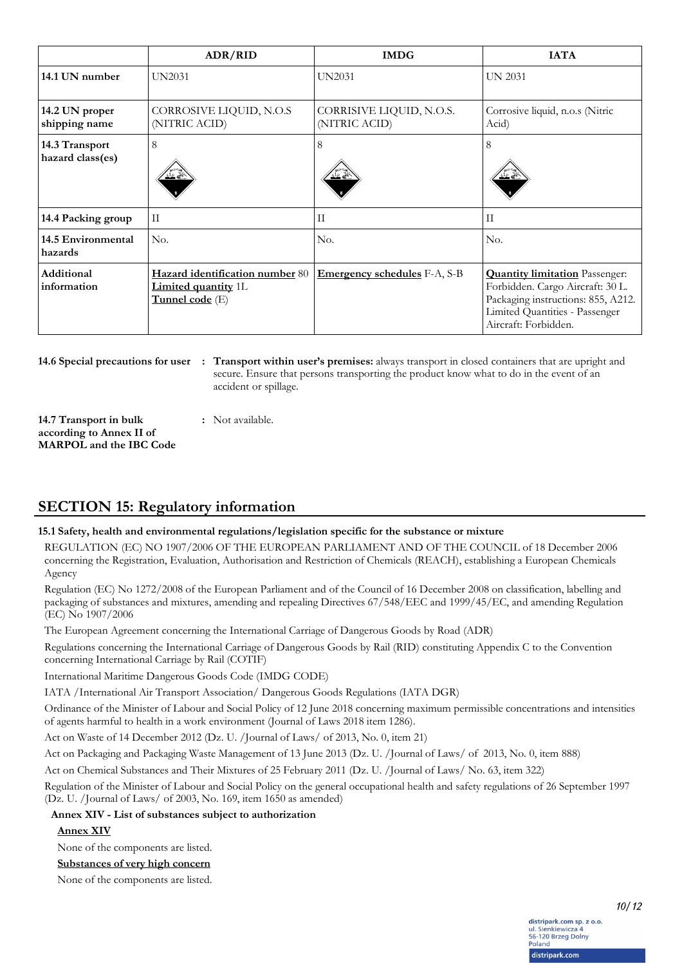|                                    | ADR/RID                                                                          | <b>IMDG</b>                               | <b>IATA</b>                                                                                                                                                               |
|------------------------------------|----------------------------------------------------------------------------------|-------------------------------------------|---------------------------------------------------------------------------------------------------------------------------------------------------------------------------|
| 14.1 UN number                     | <b>UN2031</b>                                                                    | <b>UN2031</b>                             | <b>UN 2031</b>                                                                                                                                                            |
| 14.2 UN proper<br>shipping name    | CORROSIVE LIQUID, N.O.S<br>(NITRIC ACID)                                         | CORRISIVE LIQUID, N.O.S.<br>(NITRIC ACID) | Corrosive liquid, n.o.s (Nitric<br>Acid)                                                                                                                                  |
| 14.3 Transport<br>hazard class(es) | 8                                                                                | 8                                         | 8                                                                                                                                                                         |
| 14.4 Packing group                 | $\mathbf{I}$                                                                     | $\mathbf{H}$                              | $\rm II$                                                                                                                                                                  |
| 14.5 Environmental<br>hazards      | No.                                                                              | No.                                       | No.                                                                                                                                                                       |
| Additional<br>information          | Hazard identification number 80<br><b>Limited quantity 1L</b><br>Tunnel code (E) | <b>Emergency schedules</b> F-A, S-B       | <b>Quantity limitation</b> Passenger:<br>Forbidden. Cargo Aircraft: 30 L.<br>Packaging instructions: 855, A212.<br>Limited Quantities - Passenger<br>Aircraft: Forbidden. |

**14.6 Special precautions for user**

**Transport within user's premises:** always transport in closed containers that are upright and **:** secure. Ensure that persons transporting the product know what to do in the event of an accident or spillage.

**14.7 Transport in bulk according to Annex II of MARPOL and the IBC Code :** Not available.

# **SECTION 15: Regulatory information**

### **15.1 Safety, health and environmental regulations/legislation specific for the substance or mixture**

REGULATION (EC) NO 1907/2006 OF THE EUROPEAN PARLIAMENT AND OF THE COUNCIL of 18 December 2006 concerning the Registration, Evaluation, Authorisation and Restriction of Chemicals (REACH), establishing a European Chemicals Agency

Regulation (EC) No 1272/2008 of the European Parliament and of the Council of 16 December 2008 on classification, labelling and packaging of substances and mixtures, amending and repealing Directives 67/548/EEC and 1999/45/EC, and amending Regulation (EC) No 1907/2006

The European Agreement concerning the International Carriage of Dangerous Goods by Road (ADR)

Regulations concerning the International Carriage of Dangerous Goods by Rail (RID) constituting Appendix C to the Convention concerning International Carriage by Rail (COTIF)

International Maritime Dangerous Goods Code (IMDG CODE)

IATA /International Air Transport Association/ Dangerous Goods Regulations (IATA DGR)

Ordinance of the Minister of Labour and Social Policy of 12 June 2018 concerning maximum permissible concentrations and intensities of agents harmful to health in a work environment (Journal of Laws 2018 item 1286).

Act on Waste of 14 December 2012 (Dz. U. /Journal of Laws/ of 2013, No. 0, item 21)

Act on Packaging and Packaging Waste Management of 13 June 2013 (Dz. U. /Journal of Laws/ of 2013, No. 0, item 888)

Act on Chemical Substances and Their Mixtures of 25 February 2011 (Dz. U. /Journal of Laws/ No. 63, item 322)

Regulation of the Minister of Labour and Social Policy on the general occupational health and safety regulations of 26 September 1997 (Dz. U. /Journal of Laws/ of 2003, No. 169, item 1650 as amended)

**Annex XIV - List of substances subject to authorization**

#### **Annex XIV**

None of the components are listed.

#### **Substances of very high concern**

None of the components are listed.

*10/12*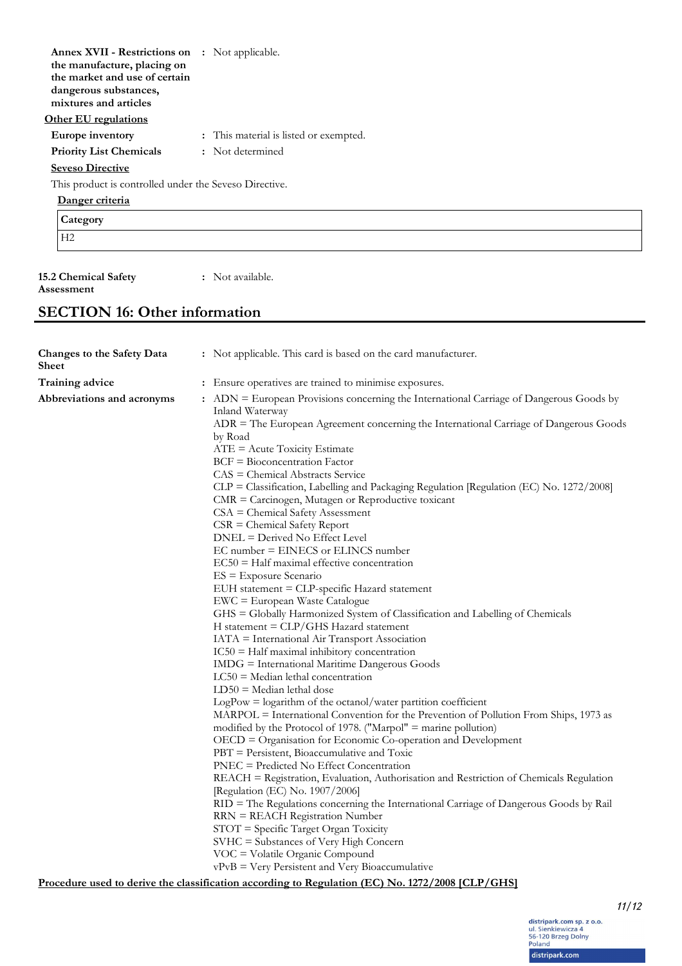| <b>Annex XVII - Restrictions on</b> : Not applicable.  |                                        |
|--------------------------------------------------------|----------------------------------------|
| the manufacture, placing on                            |                                        |
| the market and use of certain                          |                                        |
| dangerous substances,                                  |                                        |
| mixtures and articles                                  |                                        |
| <b>Other EU regulations</b>                            |                                        |
| Europe inventory                                       | : This material is listed or exempted. |
| <b>Priority List Chemicals</b>                         | : Not determined                       |
| <b>Seveso Directive</b>                                |                                        |
| This product is controlled under the Seveso Directive. |                                        |
| Danger criteria                                        |                                        |
| Category                                               |                                        |
| H2                                                     |                                        |
|                                                        |                                        |

#### **15.2 Chemical Safety Assessment**

**:** Not available.

# **SECTION 16: Other information**

| Changes to the Safety Data<br><b>Sheet</b> | : Not applicable. This card is based on the card manufacturer.                                                                                                                                                                                                                                                                                                                                                                                                                                                                                                                                                                                                                                                                                                                                                                                                                                                                                                                                                                                                                                                                                                                                                                                                                                                                                                                                                                                                                                                                                                                                                                                                                                                                                                                                                                                                                                                     |  |
|--------------------------------------------|--------------------------------------------------------------------------------------------------------------------------------------------------------------------------------------------------------------------------------------------------------------------------------------------------------------------------------------------------------------------------------------------------------------------------------------------------------------------------------------------------------------------------------------------------------------------------------------------------------------------------------------------------------------------------------------------------------------------------------------------------------------------------------------------------------------------------------------------------------------------------------------------------------------------------------------------------------------------------------------------------------------------------------------------------------------------------------------------------------------------------------------------------------------------------------------------------------------------------------------------------------------------------------------------------------------------------------------------------------------------------------------------------------------------------------------------------------------------------------------------------------------------------------------------------------------------------------------------------------------------------------------------------------------------------------------------------------------------------------------------------------------------------------------------------------------------------------------------------------------------------------------------------------------------|--|
| Training advice                            | : Ensure operatives are trained to minimise exposures.                                                                                                                                                                                                                                                                                                                                                                                                                                                                                                                                                                                                                                                                                                                                                                                                                                                                                                                                                                                                                                                                                                                                                                                                                                                                                                                                                                                                                                                                                                                                                                                                                                                                                                                                                                                                                                                             |  |
| Abbreviations and acronyms                 | : ADN = European Provisions concerning the International Carriage of Dangerous Goods by<br>Inland Waterway<br>$\triangle$ DR = The European Agreement concerning the International Carriage of Dangerous Goods<br>by Road<br>$ATE = Acute Toxicity Estimate$<br>$BCF = Bioconcentration Factor$<br>$CAS = Chemical Abstracts Service$<br>CLP = Classification, Labelling and Packaging Regulation [Regulation (EC) No. 1272/2008]<br>$CMR =$ Carcinogen, Mutagen or Reproductive toxicant<br>$CSA = Chemical Safety Assessment$<br>$CSR = Chemical Safety Report$<br>DNEL = Derived No Effect Level<br>EC number = EINECS or ELINCS number<br>$EC50$ = Half maximal effective concentration<br>$ES = Exposure Scenario$<br>EUH statement = CLP-specific Hazard statement<br>EWC = European Waste Catalogue<br>GHS = Globally Harmonized System of Classification and Labelling of Chemicals<br>$H$ statement = $CLP/GHS$ Hazard statement<br>IATA = International Air Transport Association<br>$IC50 = Half$ maximal inhibitory concentration<br>IMDG = International Maritime Dangerous Goods<br>$LC50$ = Median lethal concentration<br>$LD50 = Median$ lethal dose<br>$LogPow = logarithm$ of the octanol/water partition coefficient<br>MARPOL = International Convention for the Prevention of Pollution From Ships, 1973 as<br>modified by the Protocol of 1978. ("Marpol" = marine pollution)<br>OECD = Organisation for Economic Co-operation and Development<br>PBT = Persistent, Bioaccumulative and Toxic<br>PNEC = Predicted No Effect Concentration<br>REACH = Registration, Evaluation, Authorisation and Restriction of Chemicals Regulation<br>[Regulation (EC) No. 1907/2006]<br>RID = The Regulations concerning the International Carriage of Dangerous Goods by Rail<br>$RRN = REACH$ Registration Number<br>$STOT = Specific Target Organ Toxicity$<br>SVHC = Substances of Very High Concern |  |
|                                            | VOC = Volatile Organic Compound<br>vPvB = Very Persistent and Very Bioaccumulative                                                                                                                                                                                                                                                                                                                                                                                                                                                                                                                                                                                                                                                                                                                                                                                                                                                                                                                                                                                                                                                                                                                                                                                                                                                                                                                                                                                                                                                                                                                                                                                                                                                                                                                                                                                                                                 |  |

**Procedure used to derive the classification according to Regulation (EC) No. 1272/2008 [CLP/GHS]**